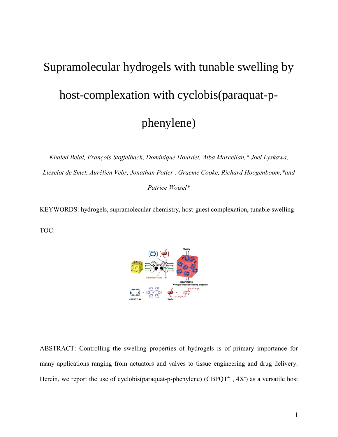# Supramolecular hydrogels with tunable swelling by host-complexation with cyclobis(paraquat-pphenylene)

*Khaled Belal, François Stoffelbach, Dominique Hourdet, Alba Marcellan,\* Joel Lyskawa, Lieselot de Smet, Aurélien Vebr, Jonathan Potier , Graeme Cooke, Richard Hoogenboom,\*and Patrice Woisel\**

KEYWORDS: hydrogels, supramolecular chemistry, host-guest complexation, tunable swelling TOC:



ABSTRACT: Controlling the swelling properties of hydrogels is of primary importance for many applications ranging from actuators and valves to tissue engineering and drug delivery. Herein, we report the use of cyclobis(paraquat-p-phenylene) (CBPQT<sup>4+</sup>, 4X<sup>-</sup>) as a versatile host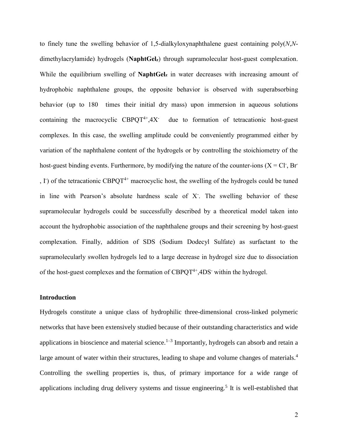to finely tune the swelling behavior of 1,5-dialkyloxynaphthalene guest containing poly(*N*,*N*dimethylacrylamide) hydrogels (**NaphtGelz**) through supramolecular host-guest complexation. While the equilibrium swelling of **NaphtGel**<sub>z</sub> in water decreases with increasing amount of hydrophobic naphthalene groups, the opposite behavior is observed with superabsorbing behavior (up to 180 times their initial dry mass) upon immersion in aqueous solutions containing the macrocyclic  $CBPQT^{4+}$ , 4X<sup>-</sup> due to formation of tetracationic host-guest complexes. In this case, the swelling amplitude could be conveniently programmed either by variation of the naphthalene content of the hydrogels or by controlling the stoichiometry of the host-guest binding events. Furthermore, by modifying the nature of the counter-ions  $(X = CI, Br<sup>2</sup>)$ ,  $\Gamma$ ) of the tetracationic CBPQT<sup>4+</sup> macrocyclic host, the swelling of the hydrogels could be tuned in line with Pearson's absolute hardness scale of X- . The swelling behavior of these supramolecular hydrogels could be successfully described by a theoretical model taken into account the hydrophobic association of the naphthalene groups and their screening by host-guest complexation. Finally, addition of SDS (Sodium Dodecyl Sulfate) as surfactant to the supramolecularly swollen hydrogels led to a large decrease in hydrogel size due to dissociation of the host-guest complexes and the formation of  $CBPQT^{4+}$ ,  $4DS$  within the hydrogel.

## **Introduction**

[Hydrogels](https://www.sciencedirect.com/topics/materials-science/hydrogel) constitute a unique class of hydrophilic three-dimensional cross-linked polymeric networks that have been extensively studied because of their outstanding characteristics and wide applications in bioscience and material science. $1-3$  Importantly, hydrogels can absorb and retain a large amount of water within their structures, leading to shape and volume changes of materials.<sup>4</sup> Controlling the swelling properties is, thus, of primary importance for a wide range of applications including drug delivery systems and tissue engineering.<sup>5</sup> It is well-established that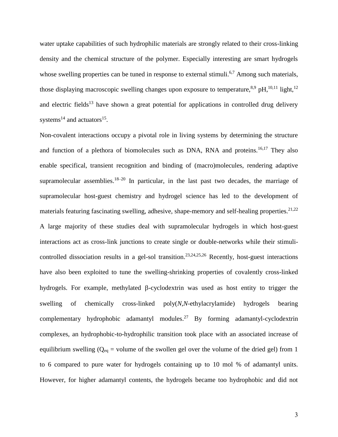water uptake capabilities of such hydrophilic materials are strongly related to their cross-linking density and the chemical structure of the polymer. Especially interesting are smart hydrogels whose swelling properties can be tuned in response to external stimuli.<sup>6,7</sup> Among such materials, those displaying macroscopic swelling changes upon exposure to temperature,<sup>8,9</sup> pH,<sup>10,11</sup> light,<sup>12</sup> and electric fields<sup>13</sup> have shown a great potential for applications in controlled drug delivery systems<sup>14</sup> and actuators<sup>15</sup>.

Non-covalent interactions occupy a pivotal role in living systems by determining the structure and function of a plethora of biomolecules such as DNA, RNA and proteins.<sup>16,17</sup> They also enable specifical, transient recognition and binding of (macro)molecules, rendering adaptive supramolecular assemblies.<sup>18–20</sup> In particular, in the last past two decades, the marriage of supramolecular host-guest chemistry and hydrogel science has led to the development of materials featuring fascinating swelling, adhesive, shape-memory and self-healing properties.<sup>21,22</sup> A large majority of these studies deal with supramolecular hydrogels in which host-guest interactions act as cross-link junctions to create single or double-networks while their stimulicontrolled dissociation results in a gel-sol transition.<sup>23,24,25,26</sup> Recently, host-guest interactions have also been exploited to tune the swelling-shrinking properties of covalently cross-linked hydrogels. For example, methylated  $\beta$ -cyclodextrin was used as host entity to trigger the swelling of chemically cross-linked poly(*N*,*N*-ethylacrylamide) hydrogels bearing complementary hydrophobic adamantyl modules.<sup>27</sup> By forming adamantyl-cyclodextrin complexes, an hydrophobic-to-hydrophilic transition took place with an associated increase of equilibrium swelling ( $Q_{eq}$  = volume of the swollen gel over the volume of the dried gel) from 1 to 6 compared to pure water for hydrogels containing up to 10 mol % of adamantyl units. However, for higher adamantyl contents, the hydrogels became too hydrophobic and did not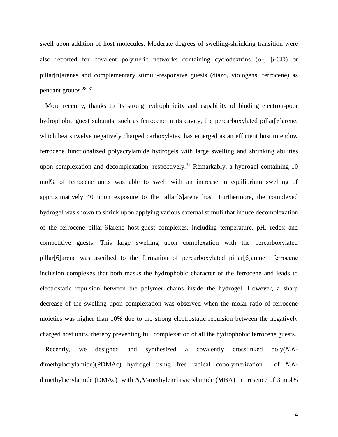swell upon addition of host molecules. Moderate degrees of swelling-shrinking transition were also reported for covalent polymeric networks containing cyclodextrins  $(\alpha, \beta$ -CD) or pillar[n]arenes and complementary stimuli-responsive guests (diazo, viologens, ferrocene) as pendant groups.28–31

More recently, thanks to its strong hydrophilicity and capability of binding electron-poor hydrophobic guest subunits, such as ferrocene in its cavity, the percarboxylated pillar [6] arene, which bears twelve negatively charged carboxylates, has emerged as an efficient host to endow ferrocene functionalized polyacrylamide hydrogels with large swelling and shrinking abilities upon complexation and decomplexation, respectively.<sup>32</sup> Remarkably, a hydrogel containing 10 mol% of ferrocene units was able to swell with an increase in equilibrium swelling of approximatively 40 upon exposure to the pillar[6]arene host. Furthermore, the complexed hydrogel was shown to shrink upon applying various external stimuli that induce decomplexation of the ferrocene pillar[6]arene host-guest complexes, including temperature, pH, redox and competitive guests. This large swelling upon complexation with the percarboxylated pillar[6]arene was ascribed to the formation of percarboxylated pillar[6]arene −ferrocene inclusion complexes that both masks the hydrophobic character of the ferrocene and leads to electrostatic repulsion between the polymer chains inside the hydrogel. However, a sharp decrease of the swelling upon complexation was observed when the molar ratio of ferrocene moieties was higher than 10% due to the strong electrostatic repulsion between the negatively charged host units, thereby preventing full complexation of all the hydrophobic ferrocene guests.

Recently, we designed and synthesized a covalently crosslinked poly(*N*,*N*dimethylacrylamide)(PDMAc) hydrogel using free radical copolymerization of *N,N*dimethylacrylamide (DMAc) with *N*,*N*'-methylenebisacrylamide (MBA) in presence of 3 mol%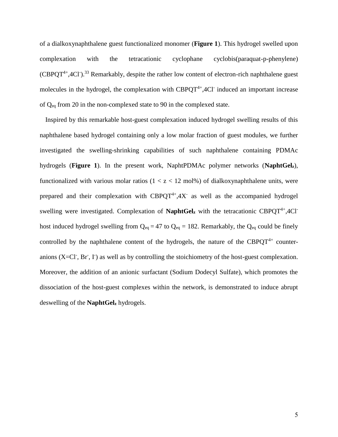of a dialkoxynaphthalene guest functionalized monomer (**Figure 1**). This hydrogel swelled upon complexation with the tetracationic cyclophane cyclobis(paraquat-p-phenylene)  $(CBPQT<sup>4+</sup>, 4Cl<sup>-</sup>)<sup>33</sup>$  Remarkably, despite the rather low content of electron-rich naphthalene guest molecules in the hydrogel, the complexation with  $CBPQT<sup>4+</sup>, 4CI<sup>-</sup>$  induced an important increase of Qeq from 20 in the non-complexed state to 90 in the complexed state.

Inspired by this remarkable host-guest complexation induced hydrogel swelling results of this naphthalene based hydrogel containing only a low molar fraction of guest modules, we further investigated the swelling-shrinking capabilities of such naphthalene containing PDMAc hydrogels (**Figure 1**). In the present work, NaphtPDMAc polymer networks (**NaphtGelz**), functionalized with various molar ratios  $(1 < z < 12 \text{ mol})$  of dialkoxynaphthalene units, were prepared and their complexation with  $CBPQT^{4+}$ , 4X as well as the accompanied hydrogel swelling were investigated. Complexation of **NaphtGel**<sub>z</sub> with the tetracationic CBPQT<sup>4+</sup>,4Cl<sup>-</sup> host induced hydrogel swelling from  $Q_{eq} = 47$  to  $Q_{eq} = 182$ . Remarkably, the  $Q_{eq}$  could be finely controlled by the naphthalene content of the hydrogels, the nature of the CBPQT<sup>4+</sup> counteranions  $(X=CI^T, Br, I^T)$  as well as by controlling the stoichiometry of the host-guest complexation. Moreover, the addition of an anionic surfactant (Sodium Dodecyl Sulfate), which promotes the dissociation of the host-guest complexes within the network, is demonstrated to induce abrupt deswelling of the **NaphtGel<sup>z</sup>** hydrogels.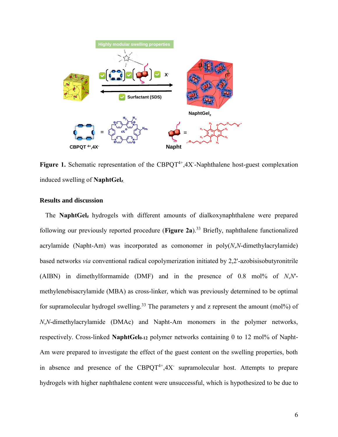

Figure 1. Schematic representation of the CBPQT<sup>4+</sup>,4X<sup>-</sup>-Naphthalene host-guest complexation induced swelling of **NaphtGel<sup>z</sup>**.

# **Results and discussion**

The **NaphtGelz** hydrogels with different amounts of dialkoxynaphthalene were prepared following our previously reported procedure (**Figure 2a**).<sup>33</sup> Briefly, naphthalene functionalized acrylamide (Napht-Am) was incorporated as comonomer in poly(*N*,*N*-dimethylacrylamide) based networks *via* conventional radical copolymerization initiated by 2,2'-azobisisobutyronitrile (AIBN) in dimethylformamide (DMF) and in the presence of 0.8 mol% of *N*,*N*' methylenebisacrylamide (MBA) as cross-linker, which was previously determined to be optimal for supramolecular hydrogel swelling.<sup>33</sup> The parameters y and z represent the amount (mol%) of *N*,*N*-dimethylacrylamide (DMAc) and Napht-Am monomers in the polymer networks, respectively. Cross-linked **NaphtGel0-12** polymer networks containing 0 to 12 mol% of Napht-Am were prepared to investigate the effect of the guest content on the swelling properties, both in absence and presence of the  $CBPQT^{4+}$ , 4X supramolecular host. Attempts to prepare hydrogels with higher naphthalene content were unsuccessful, which is hypothesized to be due to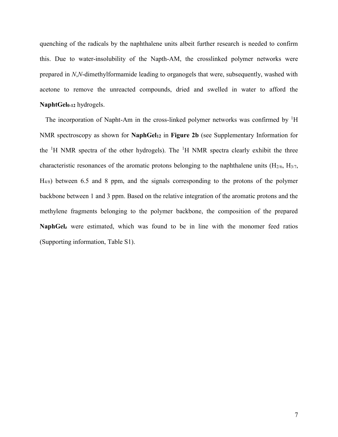quenching of the radicals by the naphthalene units albeit further research is needed to confirm this. Due to water-insolubility of the Napth-AM, the crosslinked polymer networks were prepared in *N*,*N*-dimethylformamide leading to organogels that were, subsequently, washed with acetone to remove the unreacted compounds, dried and swelled in water to afford the **NaphtGel0-12** hydrogels.

The incorporation of Napht-Am in the cross-linked polymer networks was confirmed by  ${}^{1}H$ NMR spectroscopy as shown for **NaphGel<sup>12</sup>** in **Figure 2b** (see Supplementary Information for the  ${}^{1}H$  NMR spectra of the other hydrogels). The  ${}^{1}H$  NMR spectra clearly exhibit the three characteristic resonances of the aromatic protons belonging to the naphthalene units  $(H_{2/6}, H_{3/7}, H_{3/7})$ H4/8) between 6.5 and 8 ppm, and the signals corresponding to the protons of the polymer backbone between 1 and 3 ppm. Based on the relative integration of the aromatic protons and the methylene fragments belonging to the polymer backbone, the composition of the prepared **NaphGel<sup>z</sup>** were estimated, which was found to be in line with the monomer feed ratios (Supporting information, Table S1).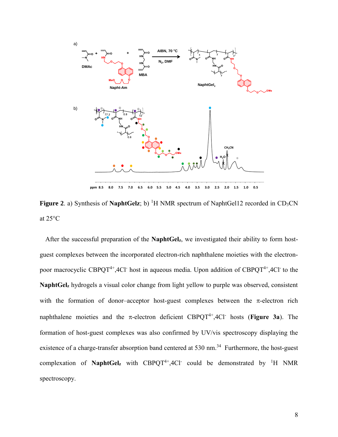

**Figure 2.** a) Synthesis of **NaphtGelz**; b) <sup>1</sup>H NMR spectrum of NaphtGel12 recorded in CD<sub>3</sub>CN at 25°C

After the successful preparation of the **NaphtGelz**, we investigated their ability to form hostguest complexes between the incorporated electron-rich naphthalene moieties with the electronpoor macrocyclic CBPQT<sup>4+</sup>,4Cl host in aqueous media. Upon addition of CBPQT<sup>4+</sup>,4Cl to the **NaphtGel<sup>z</sup>** hydrogels a visual color change from light yellow to purple was observed, consistent with the formation of donor-acceptor host-guest complexes between the  $\pi$ -electron rich naphthalene moieties and the  $\pi$ -electron deficient CBPQT<sup>4+</sup>,4Cl<sup>-</sup> hosts (**Figure 3a**). The formation of host-guest complexes was also confirmed by UV/vis spectroscopy displaying the existence of a charge-transfer absorption band centered at 530 nm.<sup>34</sup> Furthermore, the host-guest complexation of **NaphtGel**<sub>z</sub> with  $CBPQT^{4+}$ , 4Cl could be demonstrated by <sup>1</sup>H NMR spectroscopy.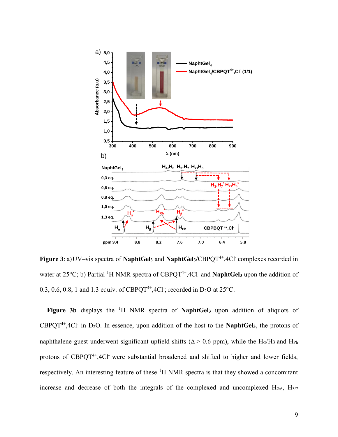

**Figure 3**: a)UV–vis spectra of **NaphtGel<sup>3</sup>** and **NaphtGel3/**CBPQT4+,4Cl-complexes recorded in water at 25<sup>o</sup>C; b) Partial <sup>1</sup>H NMR spectra of CBPQT<sup>4+</sup>,4Cl<sup>-</sup> and **NaphtGel**<sub>2</sub> upon the addition of 0.3, 0.6, 0.8, 1 and 1.3 equiv. of CBPQT<sup>4+</sup>,4Cl<sup>-</sup>; recorded in D<sub>2</sub>O at 25 $^{\circ}$ C.

**Figure 3b** displays the <sup>1</sup>H NMR spectra of **NaphtGel<sup>3</sup>** upon addition of aliquots of CBPQT<sup>4+</sup>,4Cl<sup>-</sup> in D<sub>2</sub>O. In essence, upon addition of the host to the **NaphtGel**<sub>3</sub>, the protons of naphthalene guest underwent significant upfield shifts ( $\Delta > 0.6$  ppm), while the H<sub>α</sub>/H<sub>β</sub> and H<sub>Ph</sub> protons of  $CBPOT^{4+}$ ,  $4Cl^-$  were substantial broadened and shifted to higher and lower fields, respectively. An interesting feature of these <sup>1</sup>H NMR spectra is that they showed a concomitant increase and decrease of both the integrals of the complexed and uncomplexed  $H_{2/6}$ ,  $H_{3/7}$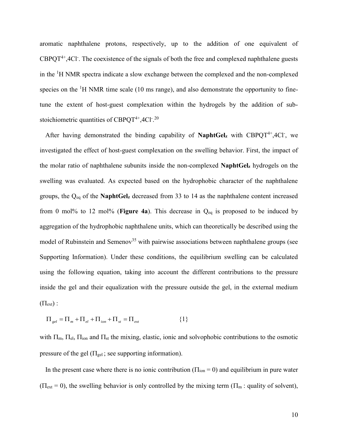aromatic naphthalene protons, respectively, up to the addition of one equivalent of  $CBPQT^{4+}$ ,  $4Cl$ . The coexistence of the signals of both the free and complexed naphthalene guests in the <sup>1</sup>H NMR spectra indicate a slow exchange between the complexed and the non-complexed species on the  $\rm{^1H}$  NMR time scale (10 ms range), and also demonstrate the opportunity to finetune the extent of host-guest complexation within the hydrogels by the addition of substoichiometric quantities of CBPQT $4+$ ,4Cl<sup>-20</sup>

After having demonstrated the binding capability of NaphtGel<sub>z</sub> with CBPQT<sup>4+</sup>,4Cl-, we investigated the effect of host-guest complexation on the swelling behavior. First, the impact of the molar ratio of naphthalene subunits inside the non-complexed **NaphtGel<sup>z</sup>** hydrogels on the swelling was evaluated. As expected based on the hydrophobic character of the naphthalene groups, the Qeq of the **NaphtGel<sup>z</sup>** decreased from 33 to 14 as the naphthalene content increased from 0 mol% to 12 mol% (**Figure 4a**). This decrease in  $Q_{eq}$  is proposed to be induced by aggregation of the hydrophobic naphthalene units, which can theoretically be described using the model of Rubinstein and Semenov<sup>35</sup> with pairwise associations between naphthalene groups (see Supporting Information). Under these conditions, the equilibrium swelling can be calculated using the following equation, taking into account the different contributions to the pressure inside the gel and their equalization with the pressure outside the gel, in the external medium  $(\Pi_{ext})$ :

$$
\Pi_{gel} = \Pi_m + \Pi_{el} + \Pi_{ion} + \Pi_{st} = \Pi_{ext}
$$
 {1}

with  $\Pi_{m}$ ,  $\Pi_{el}$ ,  $\Pi_{ion}$  and  $\Pi_{st}$  the mixing, elastic, ionic and solvophobic contributions to the osmotic pressure of the gel ( $\Pi_{gel}$ ; see supporting information).

In the present case where there is no ionic contribution ( $\Pi_{\text{ion}} = 0$ ) and equilibrium in pure water  $(\Pi_{ext} = 0)$ , the swelling behavior is only controlled by the mixing term  $(\Pi_m :$  quality of solvent),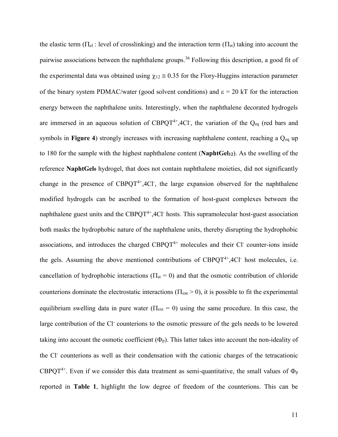the elastic term ( $\Pi_{el}$ : level of crosslinking) and the interaction term ( $\Pi_{st}$ ) taking into account the pairwise associations between the naphthalene groups.<sup>36</sup> Following this description, a good fit of the experimental data was obtained using  $\chi_{12} \approx 0.35$  for the Flory-Huggins interaction parameter of the binary system PDMAC/water (good solvent conditions) and  $\epsilon = 20$  kT for the interaction energy between the naphthalene units. Interestingly, when the naphthalene decorated hydrogels are immersed in an aqueous solution of CBPQT<sup>4+</sup>,4Cl<sup>-</sup>, the variation of the Q<sub>eq</sub> (red bars and symbols in **Figure 4**) strongly increases with increasing naphthalene content, reaching a Q<sub>eq</sub> up to 180 for the sample with the highest naphthalene content (**NaphtGel12**). As the swelling of the reference **NaphtGel<sup>0</sup>** hydrogel, that does not contain naphthalene moieties, did not significantly change in the presence of  $CBPQT^{4+}$ , 4Cl, the large expansion observed for the naphthalene modified hydrogels can be ascribed to the formation of host-guest complexes between the naphthalene guest units and the  $CBPQT^{4+}$ ,  $4Cl$ <sup>-</sup> hosts. This supramolecular host-guest association both masks the hydrophobic nature of the naphthalene units, thereby disrupting the hydrophobic associations, and introduces the charged  $CBPQT<sup>4+</sup>$  molecules and their Cl counter-ions inside the gels. Assuming the above mentioned contributions of  $CBPQT<sup>4+</sup>,4Cl<sup>-</sup>$  host molecules, i.e. cancellation of hydrophobic interactions ( $\Pi_{st} = 0$ ) and that the osmotic contribution of chloride counterions dominate the electrostatic interactions ( $\Pi_{\text{ion}}$  > 0), it is possible to fit the experimental equilibrium swelling data in pure water ( $\Pi_{ext} = 0$ ) using the same procedure. In this case, the large contribution of the Cl counterions to the osmotic pressure of the gels needs to be lowered taking into account the osmotic coefficient  $(\Phi_p)$ . This latter takes into account the non-ideality of the Cl<sup>-</sup> counterions as well as their condensation with the cationic charges of the tetracationic CBPQT<sup>4+</sup>. Even if we consider this data treatment as semi-quantitative, the small values of  $\Phi_p$ reported in **Table 1**, highlight the low degree of freedom of the counterions. This can be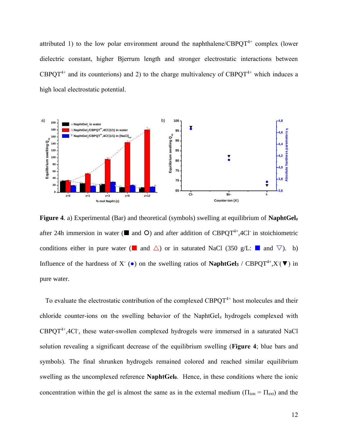attributed 1) to the low polar environment around the naphthalene/CBPQT<sup>4+</sup> complex (lower dielectric constant, higher Bjerrum length and stronger electrostatic interactions between CBPOT<sup>4+</sup> and its counterions) and 2) to the charge multivalency of CBPOT<sup>4+</sup> which induces a high local electrostatic potential.



**Figure 4**. a) Experimental (Bar) and theoretical (symbols) swelling at equilibrium of **NaphtGel<sup>z</sup>** after 24h immersion in water ( $\blacksquare$  and  $\bigcirc$ ) and after addition of CBPQT<sup>4+</sup>,4Cl<sup>-</sup> in stoichiometric conditions either in pure water (**a** and  $\triangle$ ) or in saturated NaCl (350 g/L: **a** and  $\nabla$ ). b) Influence of the hardness of X<sup>-</sup> ( $\bullet$ ) on the swelling ratios of **NaphtGel3** / CBPQT<sup>4+</sup>,X<sup>-</sup>( $\nabla$ ) in pure water.

To evaluate the electrostatic contribution of the complexed  $CBPQT<sup>4+</sup>$  host molecules and their chloride counter-ions on the swelling behavior of the NaphtGel<sub>z</sub> hydrogels complexed with CBPQT<sup>4+</sup>,4Cl<sup>-</sup>, these water-swollen complexed hydrogels were immersed in a saturated NaCl solution revealing a significant decrease of the equilibrium swelling (**Figure 4**; blue bars and symbols). The final shrunken hydrogels remained colored and reached similar equilibrium swelling as the uncomplexed reference **NaphtGel0**. Hence, in these conditions where the ionic concentration within the gel is almost the same as in the external medium ( $\Pi_{ion} = \Pi_{ext}$ ) and the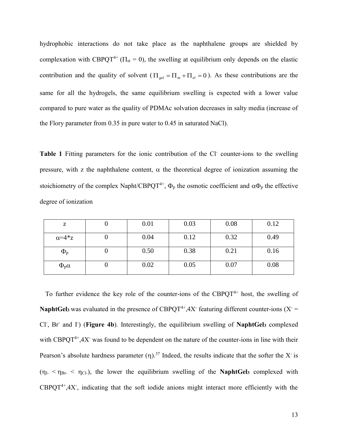hydrophobic interactions do not take place as the naphthalene groups are shielded by complexation with CBPQT<sup>4+</sup> ( $\Pi_{st}$  = 0), the swelling at equilibrium only depends on the elastic contribution and the quality of solvent  $(\Pi_{gel} = \Pi_m + \Pi_{el} = 0)$ . As these contributions are the same for all the hydrogels, the same equilibrium swelling is expected with a lower value compared to pure water as the quality of PDMAc solvation decreases in salty media (increase of the Flory parameter from 0.35 in pure water to 0.45 in saturated NaCl).

Table 1 Fitting parameters for the ionic contribution of the Cl counter-ions to the swelling pressure, with z the naphthalene content,  $\alpha$  the theoretical degree of ionization assuming the stoichiometry of the complex Napht/CBPQT<sup>4+</sup>,  $\Phi_p$  the osmotic coefficient and  $\alpha \Phi_p$  the effective degree of ionization

| z                     | 0.01 | 0.03 | 0.08 | 0.12 |
|-----------------------|------|------|------|------|
| $\alpha = 4 \times Z$ | 0.04 | 0.12 | 0.32 | 0.49 |
| $\Phi_{\rm p}$        | 0.50 | 0.38 | 0.21 | 0.16 |
| $\Phi_{p}\alpha$      | 0.02 | 0.05 | 0.07 | 0.08 |

To further evidence the key role of the counter-ions of the CBPQT<sup>4+</sup> host, the swelling of **NaphtGel<sub>3</sub>** was evaluated in the presence of  $CBPQT^{4+}$ , 4X<sup>-</sup> featuring different counter-ions (X<sup>-</sup> = Cl- , Br-and I- ) (**Figure 4b**). Interestingly, the equilibrium swelling of **NaphtGel<sup>3</sup>** complexed with CBPQT<sup>4+</sup>,4X<sup>-</sup> was found to be dependent on the nature of the counter-ions in line with their Pearson's absolute hardness parameter  $(\eta)$ .<sup>37</sup> Indeed, the results indicate that the softer the X<sup>-</sup> is  $(\eta_{I-} < \eta_{Br-} < \eta_{Cl-})$ , the lower the equilibrium swelling of the **NaphtGel3** complexed with  $CBPQT^{4+}$ , 4X, indicating that the soft iodide anions might interact more efficiently with the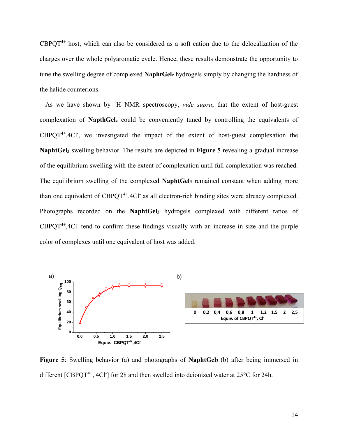$CBPQT^{4+}$  host, which can also be considered as a soft cation due to the delocalization of the charges over the whole polyaromatic cycle. Hence, these results demonstrate the opportunity to tune the swelling degree of complexed **NaphtGel<sup>z</sup>** hydrogels simply by changing the hardness of the halide counterions.

As we have shown by <sup>1</sup>H NMR spectroscopy, *vide supra*, that the extent of host-guest complexation of **NapthGel<sup>z</sup>** could be conveniently tuned by controlling the equivalents of  $CBPQT^{4+}$ , 4Cl, we investigated the impact of the extent of host-guest complexation the **NaphtGel<sup>3</sup>** swelling behavior. The results are depicted in **Figure 5** revealing a gradual increase of the equilibrium swelling with the extent of complexation until full complexation was reached. The equilibrium swelling of the complexed **NaphtGel<sup>3</sup>** remained constant when adding more than one equivalent of  $CBPQT^{4+}$ ,  $4Cl^-$  as all electron-rich binding sites were already complexed. Photographs recorded on the **NaphtGel<sup>3</sup>** hydrogels complexed with different ratios of  $CBPQT<sup>4+</sup>, 4Cl<sup>-</sup>$  tend to confirm these findings visually with an increase in size and the purple color of complexes until one equivalent of host was added.



**Figure 5**: Swelling behavior (a) and photographs of **NaphtGel3** (b) after being immersed in different  $[CBPQT^{4+}$ ,  $4Cl$ <sup>-</sup>] for 2h and then swelled into deionized water at 25 $^{\circ}$ C for 24h.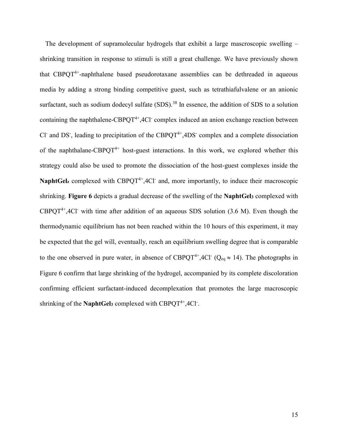The development of supramolecular hydrogels that exhibit a large mascroscopic swelling – shrinking transition in response to stimuli is still a great challenge. We have previously shown that  $CBPQT^{4+}$ -naphthalene based pseudorotaxane assemblies can be dethreaded in aqueous media by adding a strong binding competitive guest, such as tetrathiafulvalene or an anionic surfactant, such as sodium dodecyl sulfate  $(SDS)$ .<sup>38</sup> In essence, the addition of SDS to a solution containing the naphthalene-CBPQT<sup>4+</sup>, 4Cl<sup>-</sup> complex induced an anion exchange reaction between Cl<sup>-</sup> and DS<sup>-</sup>, leading to precipitation of the CBPQT<sup>4+</sup>, 4DS<sup>-</sup> complex and a complete dissociation of the naphthalane-CBPQT<sup>4+</sup> host-guest interactions. In this work, we explored whether this strategy could also be used to promote the dissociation of the host-guest complexes inside the NaphtGel<sub>z</sub> complexed with CBPQT<sup>4+</sup>,4Cl<sup>-</sup> and, more importantly, to induce their macroscopic shrinking. **Figure 6** depicts a gradual decrease of the swelling of the **NaphtGel<sup>3</sup>** complexed with  $CBPOT<sup>4+</sup>, 4Cl<sup>-</sup>$  with time after addition of an aqueous SDS solution (3.6 M). Even though the thermodynamic equilibrium has not been reached within the 10 hours of this experiment, it may be expected that the gel will, eventually, reach an equilibrium swelling degree that is comparable to the one observed in pure water, in absence of CBPQT<sup>4+</sup>,4Cl<sup>-</sup> (Q<sub>eq</sub>  $\approx$  14). The photographs in Figure 6 confirm that large shrinking of the hydrogel, accompanied by its complete discoloration confirming efficient surfactant-induced decomplexation that promotes the large macroscopic shrinking of the NaphtGel<sub>3</sub> complexed with CBPQT<sup>4+</sup>,4Cl<sup>-</sup>.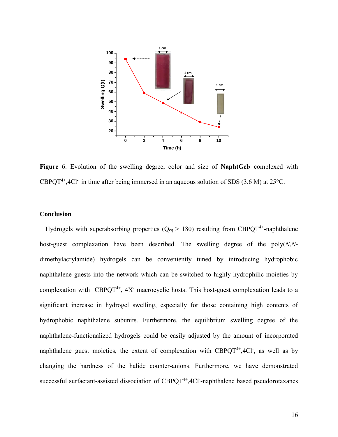

**Figure 6**: Evolution of the swelling degree, color and size of **NaphtGel<sup>3</sup>** complexed with CBPQT<sup>4+</sup>,4Cl<sup>-</sup> in time after being immersed in an aqueous solution of SDS (3.6 M) at 25 $^{\circ}$ C.

## **Conclusion**

Hydrogels with superabsorbing properties ( $Q_{eq}$  > 180) resulting from CBPQT<sup>4+</sup>-naphthalene host-guest complexation have been described. The swelling degree of the poly(*N*,*N*dimethylacrylamide) hydrogels can be conveniently tuned by introducing hydrophobic naphthalene guests into the network which can be switched to highly hydrophilic moieties by complexation with CBPQT<sup>4+</sup>,  $4X$  macrocyclic hosts. This host-guest complexation leads to a significant increase in hydrogel swelling, especially for those containing high contents of hydrophobic naphthalene subunits. Furthermore, the equilibrium swelling degree of the naphthalene-functionalized hydrogels could be easily adjusted by the amount of incorporated naphthalene guest moieties, the extent of complexation with  $CBPQT^{4+}$ , 4Cl, as well as by changing the hardness of the halide counter-anions. Furthermore, we have demonstrated successful surfactant-assisted dissociation of  $CBPQT^{4+}$ , 4Cl -naphthalene based pseudorotaxanes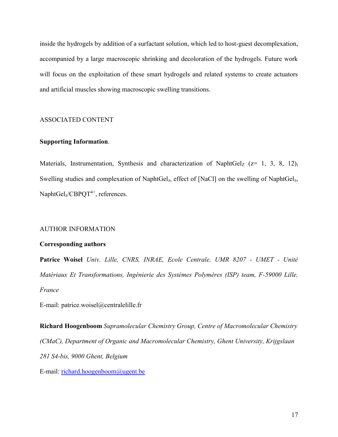inside the hydrogels by addition of a surfactant solution, which led to host-guest decomplexation, accompanied by a large macroscopic shrinking and decoloration of the hydrogels. Future work will focus on the exploitation of these smart hydrogels and related systems to create actuators and artificial muscles showing macroscopic swelling transitions.

## ASSOCIATED CONTENT

## **Supporting Information**.

Materials, Instrumentation, Synthesis and characterization of NaphtGel<sub>Z</sub> ( $z= 1, 3, 8, 12$ ); Swelling studies and complexation of NaphtGelz, effect of [NaCl] on the swelling of NaphtGelz, NaphtGel<sub>z</sub>/CBPQT<sup>4+</sup>, references.

#### AUTHOR INFORMATION

#### **Corresponding authors**

**Patrice Woisel** *Univ. Lille, CNRS, INRAE, Ecole Centrale, UMR 8207 - UMET - Unité Matériaux Et Transformations, Ingénierie des Systèmes Polymères (ISP) team, F-59000 Lille, France*

E-mail: patrice.woisel@centralelille.fr

**Richard Hoogenboom** *Supramolecular Chemistry Group, Centre of Macromolecular Chemistry (CMaC), Department of Organic and Macromolecular Chemistry, Ghent University, Krijgslaan 281 S4-bis, 9000 Ghent, Belgium*

E-mail: [richard.hoogenboom@ugent.be](mailto:richard.hoogenboom@ugent.be)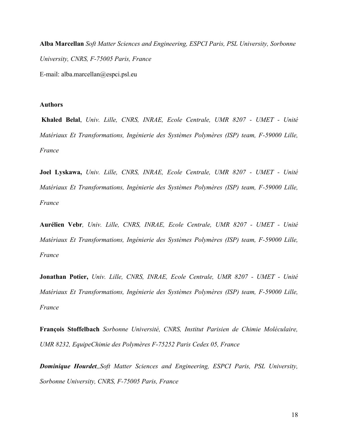**Alba Marcellan** *Soft Matter Sciences and Engineering, ESPCI Paris, PSL University, Sorbonne University, CNRS, F-75005 Paris, France* E-mail: alba.marcellan@espci.psl.eu

## **Authors**

**Khaled Belal**, *Univ. Lille, CNRS, INRAE, Ecole Centrale, UMR 8207 - UMET - Unité Matériaux Et Transformations, Ingénierie des Systèmes Polymères (ISP) team, F-59000 Lille, France*

**Joel Lyskawa,** *Univ. Lille, CNRS, INRAE, Ecole Centrale, UMR 8207 - UMET - Unité Matériaux Et Transformations, Ingénierie des Systèmes Polymères (ISP) team, F-59000 Lille, France*

**Aurélien Vebr***, Univ. Lille, CNRS, INRAE, Ecole Centrale, UMR 8207 - UMET - Unité Matériaux Et Transformations, Ingénierie des Systèmes Polymères (ISP) team, F-59000 Lille, France*

**Jonathan Potier,** *Univ. Lille, CNRS, INRAE, Ecole Centrale, UMR 8207 - UMET - Unité Matériaux Et Transformations, Ingénierie des Systèmes Polymères (ISP) team, F-59000 Lille, France*

**François Stoffelbach** *Sorbonne Université, CNRS, Institut Parisien de Chimie Moléculaire, UMR 8232, EquipeChimie des Polymères F-75252 Paris Cedex 05, France*

*Dominique Hourdet,,Soft Matter Sciences and Engineering, ESPCI Paris, PSL University, Sorbonne University, CNRS, F-75005 Paris, France*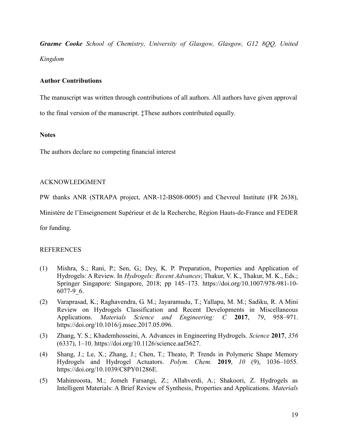*Graeme Cooke School of Chemistry, University of Glasgow, Glasgow, G12 8QQ, United Kingdom*

# **Author Contributions**

The manuscript was written through contributions of all authors. All authors have given approval to the final version of the manuscript. ‡These authors contributed equally.

## **Notes**

The authors declare no competing financial interest

# ACKNOWLEDGMENT

PW thanks ANR (STRAPA project, ANR-12-BS08-0005) and Chevreul Institute (FR 2638),

Ministère de l'Enseignement Supérieur et de la Recherche, Région Hauts-de-France and FEDER

for funding.

# REFERENCES

- (1) Mishra, S.; Rani, P.; Sen, G.; Dey, K. P. Preparation, Properties and Application of Hydrogels: A Review. In *Hydrogels: Recent Advances*; Thakur, V. K., Thakur, M. K., Eds.; Springer Singapore: Singapore, 2018; pp 145–173. https://doi.org/10.1007/978-981-10- 6077-9\_6.
- (2) Varaprasad, K.; Raghavendra, G. M.; Jayaramudu, T.; Yallapu, M. M.; Sadiku, R. A Mini Review on Hydrogels Classification and Recent Developments in Miscellaneous Applications. *Materials Science and Engineering: C* **2017**, *79*, 958–971. https://doi.org/10.1016/j.msec.2017.05.096.
- (3) Zhang, Y. S.; Khademhosseini, A. Advances in Engineering Hydrogels. *Science* **2017**, *356* (6337), 1–10. https://doi.org/10.1126/science.aaf3627.
- (4) Shang, J.; Le, X.; Zhang, J.; Chen, T.; Theato, P. Trends in Polymeric Shape Memory Hydrogels and Hydrogel Actuators. *Polym. Chem.* **2019**, *10* (9), 1036–1055. https://doi.org/10.1039/C8PY01286E.
- (5) Mahinroosta, M.; Jomeh Farsangi, Z.; Allahverdi, A.; Shakoori, Z. Hydrogels as Intelligent Materials: A Brief Review of Synthesis, Properties and Applications. *Materials*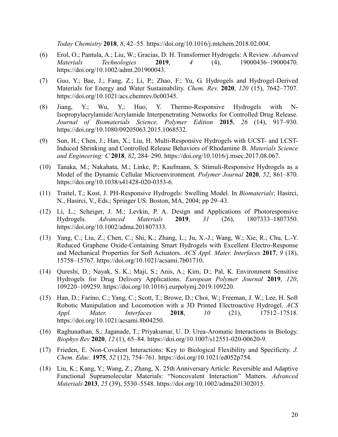*Today Chemistry* **2018**, *8*, 42–55. https://doi.org/10.1016/j.mtchem.2018.02.004.

- (6) Erol, O.; Pantula, A.; Liu, W.; Gracias, D. H. Transformer Hydrogels: A Review. *Advanced Materials Technologies* **2019**, *4* (4), 19000436–19000470. https://doi.org/10.1002/admt.201900043.
- (7) Guo, Y.; Bae, J.; Fang, Z.; Li, P.; Zhao, F.; Yu, G. Hydrogels and Hydrogel-Derived Materials for Energy and Water Sustainability. *Chem. Rev.* **2020**, *120* (15), 7642–7707. https://doi.org/10.1021/acs.chemrev.0c00345.
- (8) Jiang, Y.; Wu, Y.; Huo, Y. Thermo-Responsive Hydrogels with N-Isopropylacrylamide/Acrylamide Interpenetrating Networks for Controlled Drug Release. *Journal of Biomaterials Science, Polymer Edition* **2015**, *26* (14), 917–930. https://doi.org/10.1080/09205063.2015.1068532.
- (9) Sun, H.; Chen, J.; Han, X.; Liu, H. Multi-Responsive Hydrogels with UCST- and LCST-Induced Shrinking and Controlled Release Behaviors of Rhodamine B. *Materials Science and Engineering: C* **2018**, *82*, 284–290. https://doi.org/10.1016/j.msec.2017.08.067.
- (10) Tanaka, M.; Nakahata, M.; Linke, P.; Kaufmann, S. Stimuli-Responsive Hydrogels as a Model of the Dynamic Cellular Microenvironment. *Polymer Journal* **2020**, *52*, 861–870. https://doi.org/10.1038/s41428-020-0353-6.
- (11) Traitel, T.; Kost, J. PH-Responsive Hydrogels: Swelling Model. In *Biomaterials*; Hasirci, N., Hasirci, V., Eds.; Springer US: Boston, MA, 2004; pp 29–43.
- (12) Li, L.; Scheiger, J. M.; Levkin, P. A. Design and Applications of Photoresponsive Hydrogels. *Advanced Materials* **2019**, *31* (26), 1807333–1807350. https://doi.org/10.1002/adma.201807333.
- (13) Yang, C.; Liu, Z.; Chen, C.; Shi, K.; Zhang, L.; Ju, X.-J.; Wang, W.; Xie, R.; Chu, L.-Y. Reduced Graphene Oxide-Containing Smart Hydrogels with Excellent Electro-Response and Mechanical Properties for Soft Actuators. *ACS Appl. Mater. Interfaces* **2017**, *9* (18), 15758–15767. https://doi.org/10.1021/acsami.7b01710.
- (14) Qureshi, D.; Nayak, S. K.; Maji, S.; Anis, A.; Kim, D.; Pal, K. Environment Sensitive Hydrogels for Drug Delivery Applications. *European Polymer Journal* **2019**, *120*, 109220–109259. https://doi.org/10.1016/j.eurpolymj.2019.109220.
- (15) Han, D.; Farino, C.; Yang, C.; Scott, T.; Browe, D.; Choi, W.; Freeman, J. W.; Lee, H. Soft Robotic Manipulation and Locomotion with a 3D Printed Electroactive Hydrogel. *ACS Appl. Mater. Interfaces* **2018**, *10* (21), 17512–17518. https://doi.org/10.1021/acsami.8b04250.
- (16) Raghunathan, S.; Jaganade, T.; Priyakumar, U. D. Urea-Aromatic Interactions in Biology. *Biophys Rev* **2020**, *12* (1), 65–84. https://doi.org/10.1007/s12551-020-00620-9.
- (17) Frieden, E. Non-Covalent Interactions: Key to Biological Flexibility and Specificity. *J. Chem. Educ.* **1975**, *52* (12), 754–761. https://doi.org/10.1021/ed052p754.
- (18) Liu, K.; Kang, Y.; Wang, Z.; Zhang, X. 25th Anniversary Article: Reversible and Adaptive Functional Supramolecular Materials: "Noncovalent Interaction" Matters. *Advanced Materials* **2013**, *25* (39), 5530–5548. https://doi.org/10.1002/adma201302015.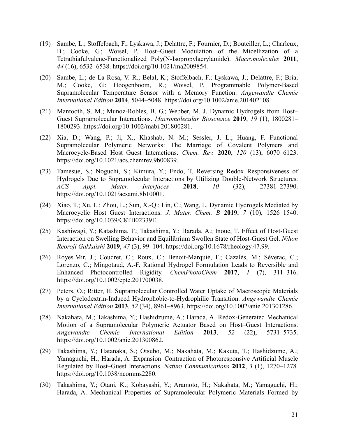- (19) Sambe, L.; Stoffelbach, F.; Lyskawa, J.; Delattre, F.; Fournier, D.; Bouteiller, L.; Charleux, B.; Cooke, G.; Woisel, P. Host–Guest Modulation of the Micellization of a Tetrathiafulvalene-Functionalized Poly(N-Isopropylacrylamide). *Macromolecules* **2011**, *44* (16), 6532–6538. https://doi.org/10.1021/ma2009854.
- (20) Sambe, L.; de La Rosa, V. R.; Belal, K.; Stoffelbach, F.; Lyskawa, J.; Delattre, F.; Bria, M.; Cooke, G.; Hoogenboom, R.; Woisel, P. Programmable Polymer-Based Supramolecular Temperature Sensor with a Memory Function. *Angewandte Chemie International Edition* **2014**, 5044–5048. https://doi.org/10.1002/anie.201402108.
- (21) Mantooth, S. M.; Munoz-Robles, B. G.; Webber, M. J. Dynamic Hydrogels from Host– Guest Supramolecular Interactions. *Macromolecular Bioscience* **2019**, *19* (1), 1800281– 1800293. https://doi.org/10.1002/mabi.201800281.
- (22) Xia, D.; Wang, P.; Ji, X.; Khashab, N. M.; Sessler, J. L.; Huang, F. Functional Supramolecular Polymeric Networks: The Marriage of Covalent Polymers and Macrocycle-Based Host–Guest Interactions. *Chem. Rev.* **2020**, *120* (13), 6070–6123. https://doi.org/10.1021/acs.chemrev.9b00839.
- (23) Tamesue, S.; Noguchi, S.; Kimura, Y.; Endo, T. Reversing Redox Responsiveness of Hydrogels Due to Supramolecular Interactions by Utilizing Double-Network Structures. *ACS Appl. Mater. Interfaces* **2018**, *10* (32), 27381–27390. https://doi.org/10.1021/acsami.8b10001.
- (24) Xiao, T.; Xu, L.; Zhou, L.; Sun, X.-Q.; Lin, C.; Wang, L. Dynamic Hydrogels Mediated by Macrocyclic Host–Guest Interactions. *J. Mater. Chem. B* **2019**, *7* (10), 1526–1540. https://doi.org/10.1039/C8TB02339E.
- (25) Kashiwagi, Y.; Katashima, T.; Takashima, Y.; Harada, A.; Inoue, T. Effect of Host-Guest Interaction on Swelling Behavior and Equilibrium Swollen State of Host-Guest Gel. *Nihon Reoroji Gakkaishi* **2019**, *47* (3), 99–104. https://doi.org/10.1678/rheology.47.99.
- (26) Royes Mir, J.; Coudret, C.; Roux, C.; Benoit-Marquié, F.; Cazalès, M.; Séverac, C.; Lorenzo, C.; Mingotaud, A.-F. Rational Hydrogel Formulation Leads to Reversible and Enhanced Photocontrolled Rigidity. *ChemPhotoChem* **2017**, *1* (7), 311–316. https://doi.org/10.1002/cptc.201700038.
- (27) Peters, O.; Ritter, H. Supramolecular Controlled Water Uptake of Macroscopic Materials by a Cyclodextrin-Induced Hydrophobic-to-Hydrophilic Transition. *Angewandte Chemie International Edition* **2013**, *52* (34), 8961–8963. https://doi.org/10.1002/anie.201301286.
- (28) Nakahata, M.; Takashima, Y.; Hashidzume, A.; Harada, A. Redox-Generated Mechanical Motion of a Supramolecular Polymeric Actuator Based on Host–Guest Interactions. *Angewandte Chemie International Edition* **2013**, *52* (22), 5731–5735. https://doi.org/10.1002/anie.201300862.
- (29) Takashima, Y.; Hatanaka, S.; Otsubo, M.; Nakahata, M.; Kakuta, T.; Hashidzume, A.; Yamaguchi, H.; Harada, A. Expansion–Contraction of Photoresponsive Artificial Muscle Regulated by Host–Guest Interactions. *Nature Communications* **2012**, *3* (1), 1270–1278. https://doi.org/10.1038/ncomms2280.
- (30) Takashima, Y.; Otani, K.; Kobayashi, Y.; Aramoto, H.; Nakahata, M.; Yamaguchi, H.; Harada, A. Mechanical Properties of Supramolecular Polymeric Materials Formed by